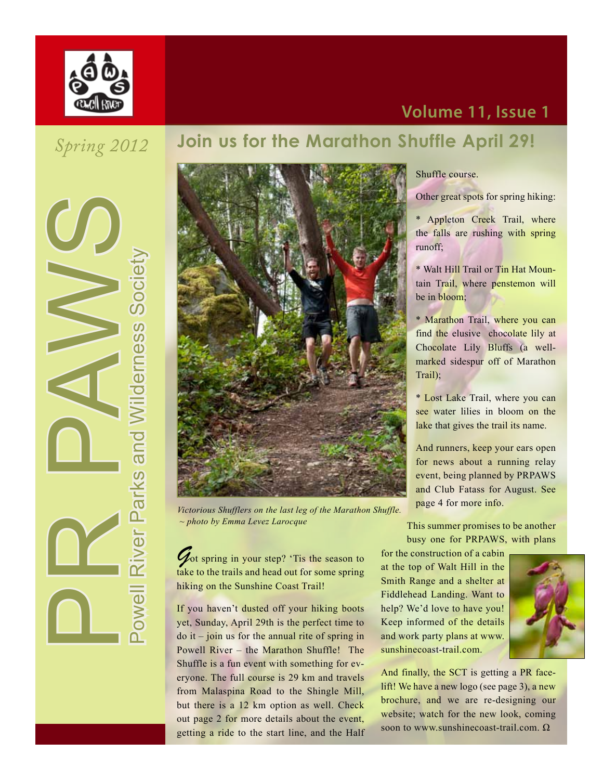

### **Volume 11, Issue 1**

# *Spring 2012*

Parks and Wilderness Society<br>Powell River Parks and Wilderness Society

### **Join us for the Marathon Shuffle April 29!**



*Victorious Shufflers on the last leg of the Marathon Shuffle. ~ photo by Emma Levez Larocque*

 $\mathcal{G}_{\text{ot spring}}$  in your step? 'Tis the season to take to the trails and head out for some spring hiking on the Sunshine Coast Trail!

If you haven't dusted off your hiking boots yet, Sunday, April 29th is the perfect time to  $\phi$  it – join us for the annual rite of spring in Powell River – the Marathon Shuffle! The Shuffle is a fun event with something for everyone. The full course is 29 km and travels from Malaspina Road to the Shingle Mill, but there is a 12 km option as well. Check out page 2 for more details about the event, getting a ride to the start line, and the Half

#### Shuffle course.

Other great spots for spring hiking:

\* Appleton Creek Trail, where the falls are rushing with spring runoff;

\* Walt Hill Trail or Tin Hat Mountain Trail, where penstemon will be in bloom;

\* Marathon Trail, where you can find the elusive chocolate lily at Chocolate Lily Bluffs (a wellmarked sidespur off of Marathon Trail);

\* Lost Lake Trail, where you can see water lilies in bloom on the lake that gives the trail its name.

And runners, keep your ears open for news about a running relay event, being planned by PRPAWS and Club Fatass for August. See page 4 for more info.

This summer promises to be another busy one for PRPAWS, with plans

for the construction of a cabin at the top of Walt Hill in the Smith Range and a shelter at Fiddlehead Landing. Want to help? We'd love to have you! Keep informed of the details and work party plans at www. sunshinecoast-trail.com.



And finally, the SCT is getting a PR facelift! We have a new logo (see page 3), a new brochure, and we are re-designing our website; watch for the new look, coming soon to www.sunshinecoast-trail.com. Ω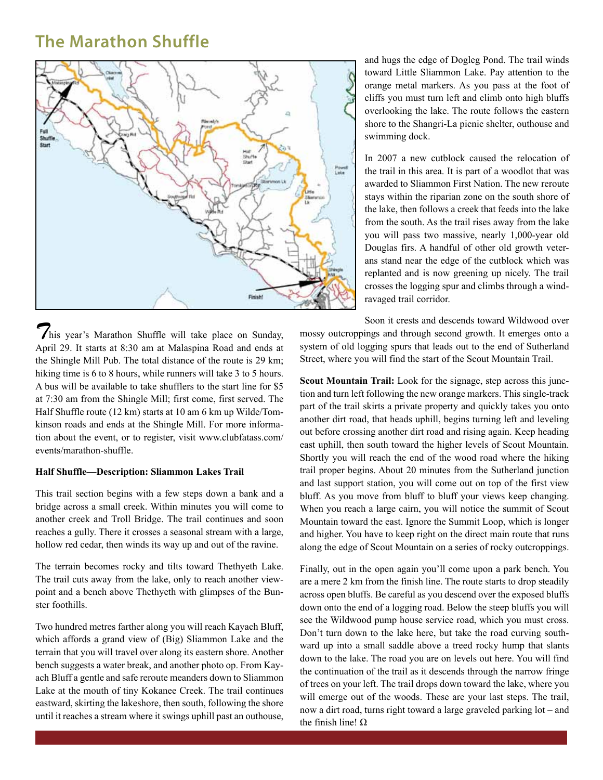#### **The Marathon Shuffle**



and hugs the edge of Dogleg Pond. The trail winds toward Little Sliammon Lake. Pay attention to the orange metal markers. As you pass at the foot of cliffs you must turn left and climb onto high bluffs overlooking the lake. The route follows the eastern shore to the Shangri-La picnic shelter, outhouse and swimming dock.

In 2007 a new cutblock caused the relocation of the trail in this area. It is part of a woodlot that was awarded to Sliammon First Nation. The new reroute stays within the riparian zone on the south shore of the lake, then follows a creek that feeds into the lake from the south. As the trail rises away from the lake you will pass two massive, nearly 1,000-year old Douglas firs. A handful of other old growth veterans stand near the edge of the cutblock which was replanted and is now greening up nicely. The trail crosses the logging spur and climbs through a windravaged trail corridor.

*T*his year's Marathon Shuffle will take place on Sunday, April 29. It starts at 8:30 am at Malaspina Road and ends at the Shingle Mill Pub. The total distance of the route is 29 km; hiking time is 6 to 8 hours, while runners will take 3 to 5 hours. A bus will be available to take shufflers to the start line for \$5 at 7:30 am from the Shingle Mill; first come, first served. The Half Shuffle route (12 km) starts at 10 am 6 km up Wilde/Tomkinson roads and ends at the Shingle Mill. For more information about the event, or to register, visit www.clubfatass.com/ events/marathon-shuffle.

#### **Half Shuffle—Description: Sliammon Lakes Trail**

This trail section begins with a few steps down a bank and a bridge across a small creek. Within minutes you will come to another creek and Troll Bridge. The trail continues and soon reaches a gully. There it crosses a seasonal stream with a large, hollow red cedar, then winds its way up and out of the ravine.

The terrain becomes rocky and tilts toward Thethyeth Lake. The trail cuts away from the lake, only to reach another viewpoint and a bench above Thethyeth with glimpses of the Bunster foothills.

Two hundred metres farther along you will reach Kayach Bluff, which affords a grand view of (Big) Sliammon Lake and the terrain that you will travel over along its eastern shore. Another bench suggests a water break, and another photo op. From Kayach Bluff a gentle and safe reroute meanders down to Sliammon Lake at the mouth of tiny Kokanee Creek. The trail continues eastward, skirting the lakeshore, then south, following the shore until it reaches a stream where it swings uphill past an outhouse,

Soon it crests and descends toward Wildwood over mossy outcroppings and through second growth. It emerges onto a system of old logging spurs that leads out to the end of Sutherland Street, where you will find the start of the Scout Mountain Trail.

**Scout Mountain Trail:** Look for the signage, step across this junction and turn left following the new orange markers. This single-track part of the trail skirts a private property and quickly takes you onto another dirt road, that heads uphill, begins turning left and leveling out before crossing another dirt road and rising again. Keep heading east uphill, then south toward the higher levels of Scout Mountain. Shortly you will reach the end of the wood road where the hiking trail proper begins. About 20 minutes from the Sutherland junction and last support station, you will come out on top of the first view bluff. As you move from bluff to bluff your views keep changing. When you reach a large cairn, you will notice the summit of Scout Mountain toward the east. Ignore the Summit Loop, which is longer and higher. You have to keep right on the direct main route that runs along the edge of Scout Mountain on a series of rocky outcroppings.

Finally, out in the open again you'll come upon a park bench. You are a mere 2 km from the finish line. The route starts to drop steadily across open bluffs. Be careful as you descend over the exposed bluffs down onto the end of a logging road. Below the steep bluffs you will see the Wildwood pump house service road, which you must cross. Don't turn down to the lake here, but take the road curving southward up into a small saddle above a treed rocky hump that slants down to the lake. The road you are on levels out here. You will find the continuation of the trail as it descends through the narrow fringe of trees on your left. The trail drops down toward the lake, where you will emerge out of the woods. These are your last steps. The trail, now a dirt road, turns right toward a large graveled parking lot – and the finish line! Ω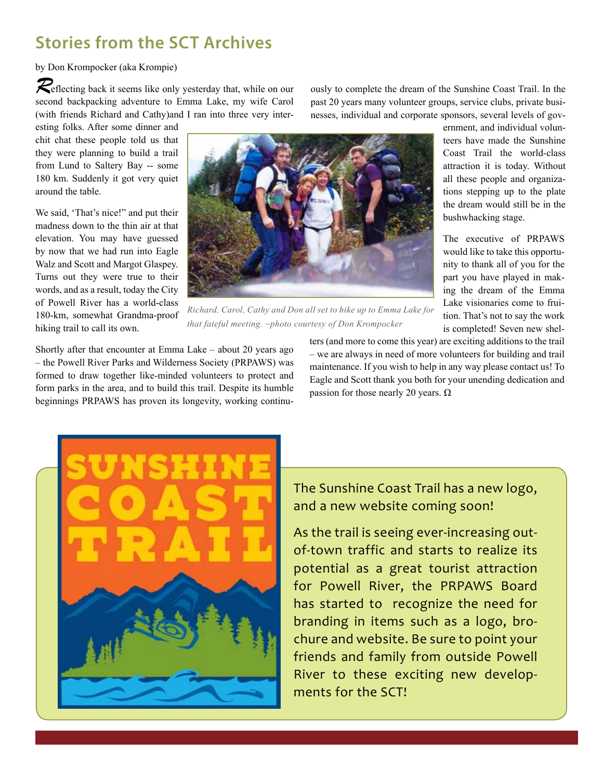## **Stories from the SCT Archives**

by Don Krompocker (aka Krompie)

*R*eflecting back it seems like only yesterday that, while on our second backpacking adventure to Emma Lake, my wife Carol (with friends Richard and Cathy)and I ran into three very inter-

esting folks. After some dinner and chit chat these people told us that they were planning to build a trail from Lund to Saltery Bay -- some 180 km. Suddenly it got very quiet around the table.

We said, 'That's nice!" and put their madness down to the thin air at that elevation. You may have guessed by now that we had run into Eagle Walz and Scott and Margot Glaspey. Turns out they were true to their words, and as a result, today the City of Powell River has a world-class 180-km, somewhat Grandma-proof hiking trail to call its own.



*Richard, Carol, Cathy and Don all set to hike up to Emma Lake for that fateful meeting. ~photo courtesy of Don Krompocker*

Shortly after that encounter at Emma Lake – about 20 years ago – the Powell River Parks and Wilderness Society (PRPAWS) was formed to draw together like-minded volunteers to protect and form parks in the area, and to build this trail. Despite its humble beginnings PRPAWS has proven its longevity, working continuters (and more to come this year) are exciting additions to the trail – we are always in need of more volunteers for building and trail maintenance. If you wish to help in any way please contact us! To Eagle and Scott thank you both for your unending dedication and passion for those nearly 20 years.  $\Omega$ 

ously to complete the dream of the Sunshine Coast Trail. In the past 20 years many volunteer groups, service clubs, private businesses, individual and corporate sponsors, several levels of gov-

> ernment, and individual volunteers have made the Sunshine Coast Trail the world-class attraction it is today. Without all these people and organizations stepping up to the plate the dream would still be in the bushwhacking stage.

The executive of PRPAWS would like to take this opportunity to thank all of you for the part you have played in making the dream of the Emma Lake visionaries come to fruition. That's not to say the work is completed! Seven new shel-

The Sunshine Coast Trail has a new logo, and a new website coming soon!

As the trail is seeing ever-increasing outof-town traffic and starts to realize its potential as a great tourist attraction for Powell River, the PRPAWS Board has started to recognize the need for branding in items such as a logo, brochure and website. Be sure to point your friends and family from outside Powell River to these exciting new developments for the SCT!